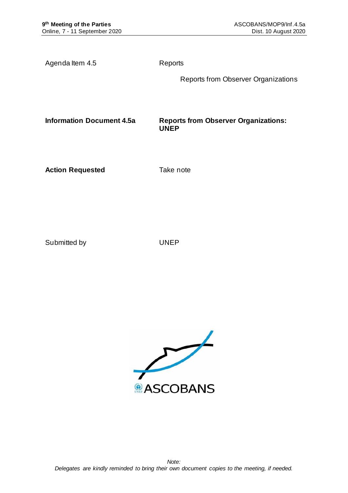Agenda Item 4.5 Reports

Reports from Observer Organizations

**Information Document 4.5a Reports from Observer Organizations: UNEP**

**Action Requested Take note** 

Submitted by UNEP

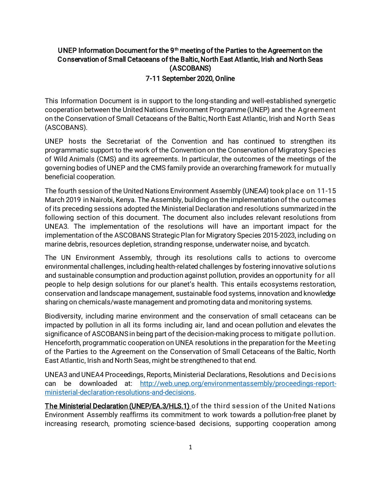## UNEP Information Document for the 9<sup>th</sup> meeting of the Parties to the Agreement on the Conservation of Small Cetaceans of the Baltic, North East Atlantic, Irish and North Seas (ASCOBANS) 7-11 September 2020, Online

This Information Document is in support to the long-standing and well-established synergetic cooperation between the United Nations Environment Programme (UNEP) and the Agreement on the Conservation of Small Cetaceans of the Baltic, North East Atlantic, Irish and North Seas (ASCOBANS).

UNEP hosts the Secretariat of the Convention and has continued to strengthen its programmatic support to the work of the Convention on the Conservation of Migratory Species of Wild Animals (CMS) and its agreements. In particular, the outcomes of the meetings of the governing bodies of UNEP and the CMS family provide an overarching framework for mutually beneficial cooperation.

The fourth session of the United Nations Environment Assembly (UNEA4) took place on 11-15 March 2019 in Nairobi, Kenya. The Assembly, building on the implementation of the outcomes of its preceding sessions adopted the Ministerial Declaration and resolutions summarized in the following section of this document. The document also includes relevant resolutions from UNEA3. The implementation of the resolutions will have an important impact for the implementation of the ASCOBANS Strategic Plan for Migratory Species 2015-2023, including on marine debris, resources depletion, stranding response, underwater noise, and bycatch.

The UN Environment Assembly, through its resolutions calls to actions to overcome environmental challenges, including health-related challenges by fostering innovative solutions and sustainable consumption and production against pollution, provides an opportunity for all people to help design solutions for our planet's health. This entails ecosystems restoration, conservation and landscape management, sustainable food systems, innovation and knowledge sharing on chemicals/waste management and promoting data and monitoring systems.

Biodiversity, including marine environment and the conservation of small cetaceans can be impacted by pollution in all its forms including air, land and ocean pollution and elevates the significance of ASCOBANSin being part of the decision-making process to mitigate pollution. Henceforth, programmatic cooperation on UNEA resolutions in the preparation for the Meeting of the Parties to the Agreement on the Conservation of Small Cetaceans of the Baltic, North East Atlantic, Irish and North Seas, might be strengthened to that end.

UNEA3 and UNEA4 Proceedings, Reports, Ministerial Declarations, Resolutions and Decisions can be downloaded at: [http://web.unep.org/environmentassembly/proceedings-report](http://web.unep.org/environmentassembly/proceedings-report-ministerial-declaration-resolutions-and-decisions)[ministerial-declaration-resolutions-and-decisions](http://web.unep.org/environmentassembly/proceedings-report-ministerial-declaration-resolutions-and-decisions).

The Ministerial Declaration (UNEP/EA.3/HLS.1) of the third session of the United Nations Environment Assembly reaffirms its commitment to work towards a pollution-free planet by increasing research, promoting science-based decisions, supporting cooperation among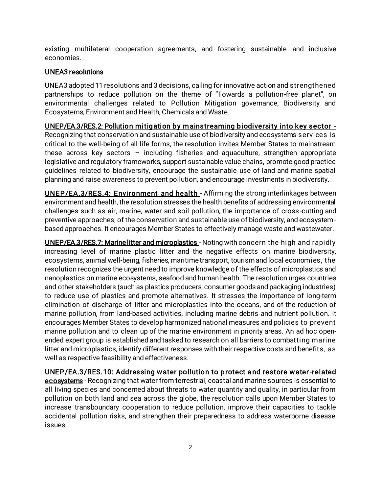existing multilateral cooperation agreements, and fostering sustainable and inclusive economies.

## UNEA3 resolutions

UNEA3 adopted 11 resolutions and 3 decisions, calling for innovative action and strengthened partnerships to reduce pollution on the theme of "Towards a pollution-free planet", on environmental challenges related to Pollution Mitigation governance, Biodiversity and Ecosystems, Environment and Health, Chemicals and Waste.

UNEP/EA.3/RES.2: Pollution mitigation by m ainstreaming biodiversity into key sector - Recognizing that conservation and sustainable use of biodiversity and ecosystems services is critical to the well-being of all life forms, the resolution invites Member States to mainstream these across key sectors – including fisheries and aquaculture, strengthen appropriate legislative and regulatory frameworks, support sustainable value chains, promote good practice guidelines related to biodiversity, encourage the sustainable use of land and marine spatial planning and raise awareness to prevent pollution, and encourage investments in biodiversity.

UNEP/EA.3/RES.4: Environment and health - Affirming the strong interlinkages between environment and health, the resolution stresses the health benefits of addressing environmental challenges such as air, marine, water and soil pollution, the importance of cross-cutting and preventive approaches, of the conservation and sustainable use of biodiversity, and ecosystembased approaches. It encourages Member States to effectively manage waste and wastewater.

UNEP/EA.3/RES.7: Marine litter and microplastics - Noting with concern the high and rapidly increasing level of marine plastic litter and the negative effects on marine biodiversity, ecosystems, animal well-being, fisheries, maritime transport, tourism and local economies, the resolution recognizes the urgent need to improve knowledge of the effects of microplastics and nanoplastics on marine ecosystems, seafood and human health. The resolution urges countries and other stakeholders (such as plastics producers, consumer goods and packaging industries) to reduce use of plastics and promote alternatives. It stresses the importance of long-term elimination of discharge of litter and microplastics into the oceans, and of the reduction of marine pollution, from land-based activities, including marine debris and nutrient pollution. It encourages Member States to develop harmonized national measures and policies to prevent marine pollution and to clean up of the marine environment in priority areas. An ad hoc openended expert group is established and tasked to research on all barriers to combatting marine litter and microplastics, identify different responses with their respective costs and benefits , as well as respective feasibility and effectiveness.

UNEP/EA.3/RES.10: Addressing water pollution to protect and restore water-related ecosystems - Recognizing that water from terrestrial, coastal and marine sources is essential to all living species and concerned about threats to water quantity and quality, in particular from pollution on both land and sea across the globe, the resolution calls upon Member States to increase transboundary cooperation to reduce pollution, improve their capacities to tackle accidental pollution risks, and strengthen their preparedness to address waterborne disease issues.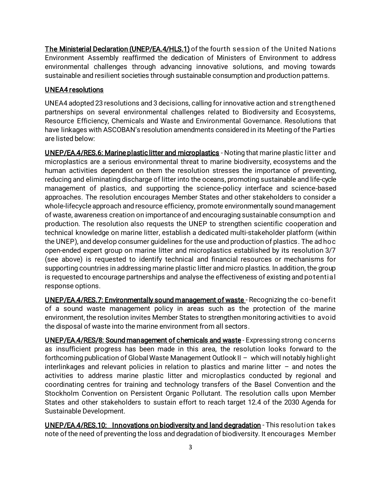The Ministerial Declaration (UNEP/EA.4/HLS.1) of the fourth session of the United Nations Environment Assembly reaffirmed the dedication of Ministers of Environment to address environmental challenges through advancing innovative solutions, and moving towards sustainable and resilient societies through sustainable consumption and production patterns.

# UNEA4 resolutions

UNEA4 adopted 23 resolutions and 3 decisions, calling for innovative action and strengthened partnerships on several environmental challenges related to Biodiversity and Ecosystems, Resource Efficiency, Chemicals and Waste and Environmental Governance. Resolutions that have linkages with ASCOBAN's resolution amendments considered in its Meeting of the Parties are listed below:

UNEP/EA.4/RES.6: Marine plastic litter and microplastics - Noting that marine plastic litter and microplastics are a serious environmental threat to marine biodiversity, ecosystems and the human activities dependent on them the resolution stresses the importance of preventing, reducing and eliminating discharge of litter into the oceans, promoting sustainable and life-cycle management of plastics, and supporting the science-policy interface and science-based approaches. The resolution encourages Member States and other stakeholders to consider a whole-lifecycle approach and resource efficiency, promote environmentally sound management of waste, awareness creation on importance of and encouraging sustainable consumption and production. The resolution also requests the UNEP to strengthen scientific cooperation and technical knowledge on marine litter, establish a dedicated multi-stakeholder platform (within the UNEP), and develop consumer guidelines for the use and production of plastics. The ad hoc open-ended expert group on marine litter and microplastics established by its resolution 3/7 (see above) is requested to identify technical and financial resources or mechanisms for supporting countries in addressing marine plastic litter and micro plastics. In addition, the group is requested to encourage partnerships and analyse the effectiveness of existing and potential response options.

UNEP/EA.4/RES.7: Environmentally sound management of waste - Recognizing the co-benefit of a sound waste management policy in areas such as the protection of the marine environment, the resolution invites Member States to strengthen monitoring activities to avoid the disposal of waste into the marine environment from all sectors.

UNEP/EA.4/RES/8: Sound management of chemicals and waste - Expressing strong concerns as insufficient progress has been made in this area, the resolution looks forward to the forthcoming publication of Global Waste Management Outlook II – which will notably highlight interlinkages and relevant policies in relation to plastics and marine litter – and notes the activities to address marine plastic litter and microplastics conducted by regional and coordinating centres for training and technology transfers of the Basel Convention and the Stockholm Convention on Persistent Organic Pollutant. The resolution calls upon Member States and other stakeholders to sustain effort to reach target 12.4 of the 2030 Agenda for Sustainable Development.

UNEP/EA.4/RES.10: Innovations on biodiversity and land degradation - This resolution takes note of the need of preventing the loss and degradation of biodiversity. It encourages Member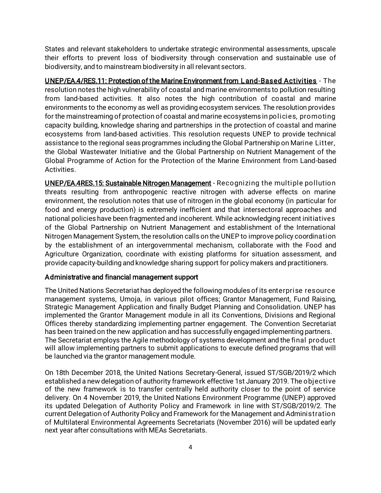States and relevant stakeholders to undertake strategic environmental assessments, upscale their efforts to prevent loss of biodiversity through conservation and sustainable use of biodiversity, and to mainstream biodiversity in all relevant sectors.

UNEP/EA.4/RES.11: Protection of the Marine Environment from L and-Based Activities - The resolution notes the high vulnerability of coastal and marine environments to pollution resulting from land-based activities. It also notes the high contribution of coastal and marine environments to the economy as well as providing ecosystem services. The resolution provides for the mainstreaming of protection of coastal and marine ecosystems in policies, promoting capacity building, knowledge sharing and partnerships in the protection of coastal and marine ecosystems from land-based activities. This resolution requests UNEP to provide technical assistance to the regional seas programmes including the Global Partnership on Marine Litter, the Global Wastewater Initiative and the Global Partnership on Nutrient Management of the Global Programme of Action for the Protection of the Marine Environment from Land-based Activities.

UNEP/EA.4RES.15: Sustainable Nitrogen Management - Recognizing the multiple pollution threats resulting from anthropogenic reactive nitrogen with adverse effects on marine environment, the resolution notes that use of nitrogen in the global economy (in particular for food and energy production) is extremely inefficient and that intersectoral approaches and national policies have been fragmented and incoherent. While acknowledging recent initiatives of the Global Partnership on Nutrient Management and establishment of the International Nitrogen Management System, the resolution calls on the UNEP to improve policy coordination by the establishment of an intergovernmental mechanism, collaborate with the Food and Agriculture Organization, coordinate with existing platforms for situation assessment, and provide capacity-building and knowledge sharing support for policy makers and practitioners.

### Administrative and financial management support

The United Nations Secretariat has deployed the following modules of its enterprise resource management systems, Umoja, in various pilot offices; Grantor Management, Fund Raising, Strategic Management Application and finally Budget Planning and Consolidation. UNEP has implemented the Grantor Management module in all its Conventions, Divisions and Regional Offices thereby standardizing implementing partner engagement. The Convention Secretariat has been trained on the new application and has successfully engaged implementing partners. The Secretariat employs the Agile methodology of systems development and the final product will allow implementing partners to submit applications to execute defined programs that will be launched via the grantor management module.

On 18th December 2018, the United Nations Secretary-General, issued ST/SGB/2019/2 which established a new delegation of authority framework effective 1st January 2019. The objective of the new framework is to transfer centrally held authority closer to the point of service delivery. On 4 November 2019, the United Nations Environment Programme (UNEP) approved its updated Delegation of Authority Policy and Framework in line with ST/SGB/2019/2. The current Delegation of Authority Policy and Framework for the Management and Administration of Multilateral Environmental Agreements Secretariats (November 2016) will be updated early next year after consultations with MEAs Secretariats.